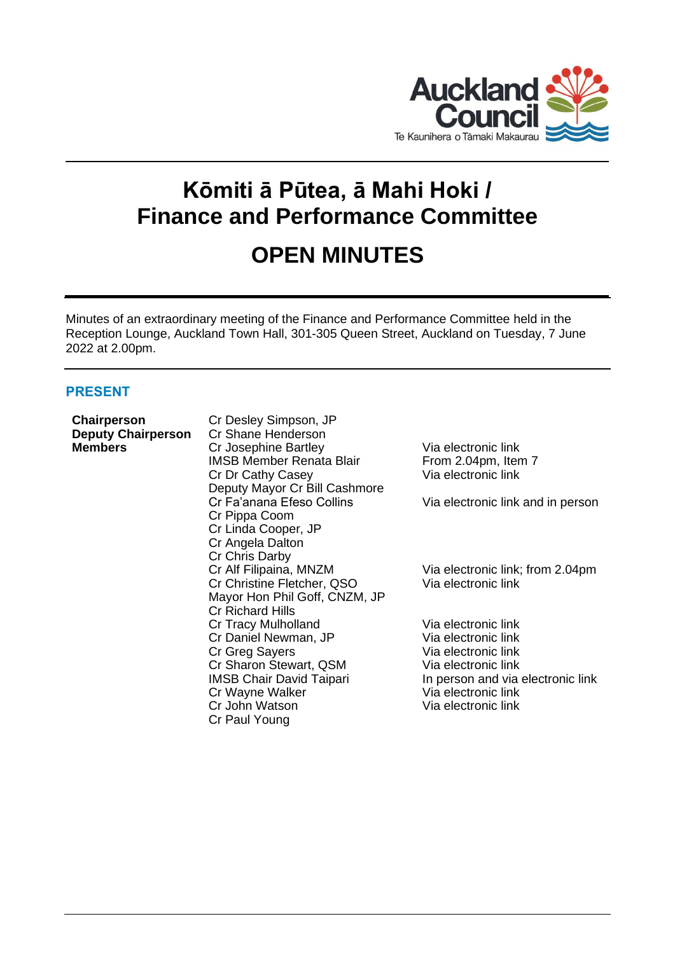

# **Kōmiti ā Pūtea, ā Mahi Hoki / Finance and Performance Committee**

# **OPEN MINUTES**

Minutes of an extraordinary meeting of the Finance and Performance Committee held in the Reception Lounge, Auckland Town Hall, 301-305 Queen Street, Auckland on Tuesday, 7 June 2022 at 2.00pm.

# **PRESENT**

**Chairperson** Cr Desley Simpson, JP

| UHAII PUI SUIT<br><b>Deputy Chairperson</b> | UL DESIEY UIHIPSUH, UI<br>Cr Shane Henderson |                                   |
|---------------------------------------------|----------------------------------------------|-----------------------------------|
| <b>Members</b>                              | Cr Josephine Bartley                         | Via electronic link               |
|                                             | <b>IMSB Member Renata Blair</b>              | From 2.04pm, Item 7               |
|                                             | Cr Dr Cathy Casey                            | Via electronic link               |
|                                             | Deputy Mayor Cr Bill Cashmore                |                                   |
|                                             | Cr Fa'anana Efeso Collins                    | Via electronic link and in person |
|                                             | Cr Pippa Coom                                |                                   |
|                                             | Cr Linda Cooper, JP                          |                                   |
|                                             | Cr Angela Dalton                             |                                   |
|                                             | Cr Chris Darby                               |                                   |
|                                             | Cr Alf Filipaina, MNZM                       | Via electronic link; from 2.04pm  |
|                                             | Cr Christine Fletcher, QSO                   | Via electronic link               |
|                                             | Mayor Hon Phil Goff, CNZM, JP                |                                   |
|                                             | <b>Cr Richard Hills</b>                      |                                   |
|                                             | Cr Tracy Mulholland                          | Via electronic link               |
|                                             | Cr Daniel Newman, JP                         | Via electronic link               |
|                                             | Cr Greg Sayers                               | Via electronic link               |
|                                             | Cr Sharon Stewart, QSM                       | Via electronic link               |
|                                             | <b>IMSB Chair David Taipari</b>              | In person and via electronic link |
|                                             | Cr Wayne Walker                              | Via electronic link               |
|                                             | Cr John Watson                               | Via electronic link               |
|                                             | Cr Paul Young                                |                                   |
|                                             |                                              |                                   |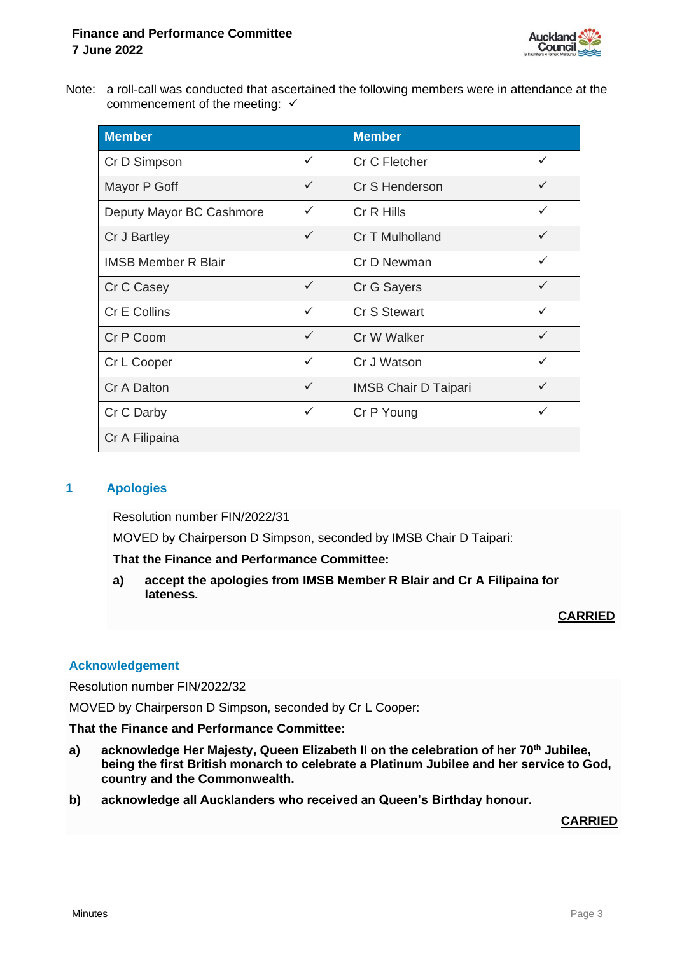

Note: a roll-call was conducted that ascertained the following members were in attendance at the commencement of the meeting:  $√$ 

| <b>Member</b>              | <b>Member</b> |                             |              |
|----------------------------|---------------|-----------------------------|--------------|
| Cr D Simpson               | $\checkmark$  | Cr C Fletcher               | $\checkmark$ |
| Mayor P Goff               | $\checkmark$  | Cr S Henderson              | $\checkmark$ |
| Deputy Mayor BC Cashmore   | $\checkmark$  | Cr R Hills                  | ✓            |
| Cr J Bartley               | $\checkmark$  | Cr T Mulholland             | $\checkmark$ |
| <b>IMSB Member R Blair</b> |               | Cr D Newman                 | $\checkmark$ |
| Cr C Casey                 | $\checkmark$  | Cr G Sayers                 | $\checkmark$ |
| Cr E Collins               | $\checkmark$  | <b>Cr S Stewart</b>         | $\checkmark$ |
| Cr P Coom                  | $\checkmark$  | Cr W Walker                 | $\checkmark$ |
| Cr L Cooper                | $\checkmark$  | Cr J Watson                 | $\checkmark$ |
| Cr A Dalton                | $\checkmark$  | <b>IMSB Chair D Taipari</b> | $\checkmark$ |
| Cr C Darby                 | $\checkmark$  | Cr P Young                  | $\checkmark$ |
| Cr A Filipaina             |               |                             |              |

# **1 Apologies**

Resolution number FIN/2022/31

MOVED by Chairperson D Simpson, seconded by IMSB Chair D Taipari:

**That the Finance and Performance Committee:**

**a) accept the apologies from IMSB Member R Blair and Cr A Filipaina for lateness.**

# **CARRIED**

# **Acknowledgement**

Resolution number FIN/2022/32

MOVED by Chairperson D Simpson, seconded by Cr L Cooper:

**That the Finance and Performance Committee:**

- **a) acknowledge Her Majesty, Queen Elizabeth II on the celebration of her 70th Jubilee, being the first British monarch to celebrate a Platinum Jubilee and her service to God, country and the Commonwealth.**
- **b) acknowledge all Aucklanders who received an Queen's Birthday honour.**

# **CARRIED**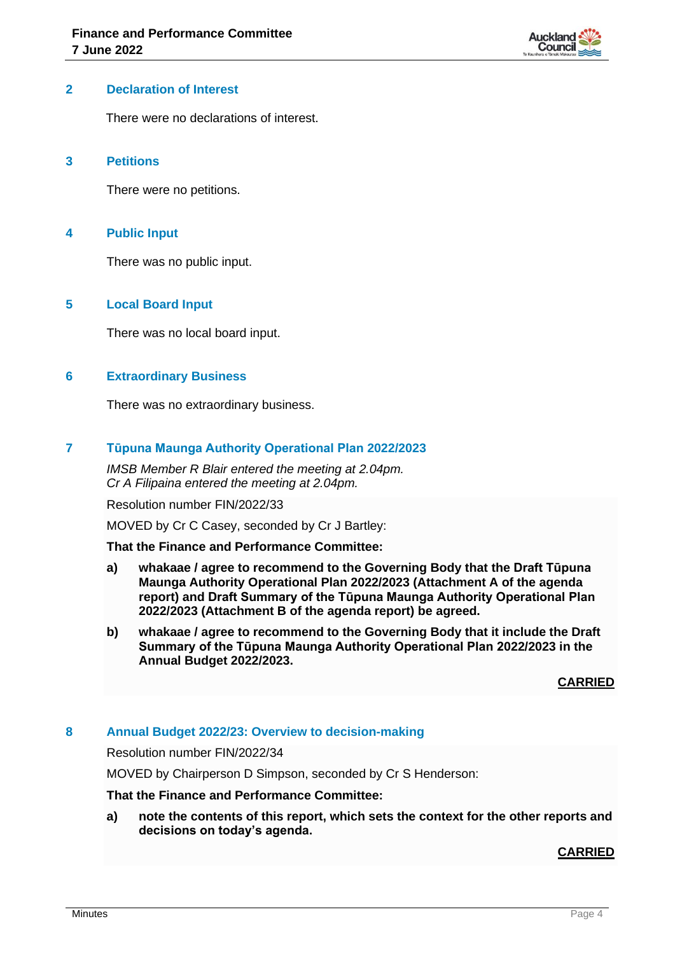

#### **2 Declaration of Interest**

There were no declarations of interest.

#### **3 Petitions**

There were no petitions.

#### **4 Public Input**

There was no public input.

# **5 Local Board Input**

There was no local board input.

#### **6 Extraordinary Business**

There was no extraordinary business.

# **7 Tūpuna Maunga Authority Operational Plan 2022/2023**

*IMSB Member R Blair entered the meeting at 2.04pm. Cr A Filipaina entered the meeting at 2.04pm.*

Resolution number FIN/2022/33

MOVED by Cr C Casey, seconded by Cr J Bartley:

#### **That the Finance and Performance Committee:**

- **a) whakaae / agree to recommend to the Governing Body that the Draft Tūpuna Maunga Authority Operational Plan 2022/2023 (Attachment A of the agenda report) and Draft Summary of the Tūpuna Maunga Authority Operational Plan 2022/2023 (Attachment B of the agenda report) be agreed.**
- **b) whakaae / agree to recommend to the Governing Body that it include the Draft Summary of the Tūpuna Maunga Authority Operational Plan 2022/2023 in the Annual Budget 2022/2023.**

**CARRIED**

# **8 Annual Budget 2022/23: Overview to decision-making**

Resolution number FIN/2022/34

MOVED by Chairperson D Simpson, seconded by Cr S Henderson:

# **That the Finance and Performance Committee:**

**a) note the contents of this report, which sets the context for the other reports and decisions on today's agenda.**

#### **CARRIED**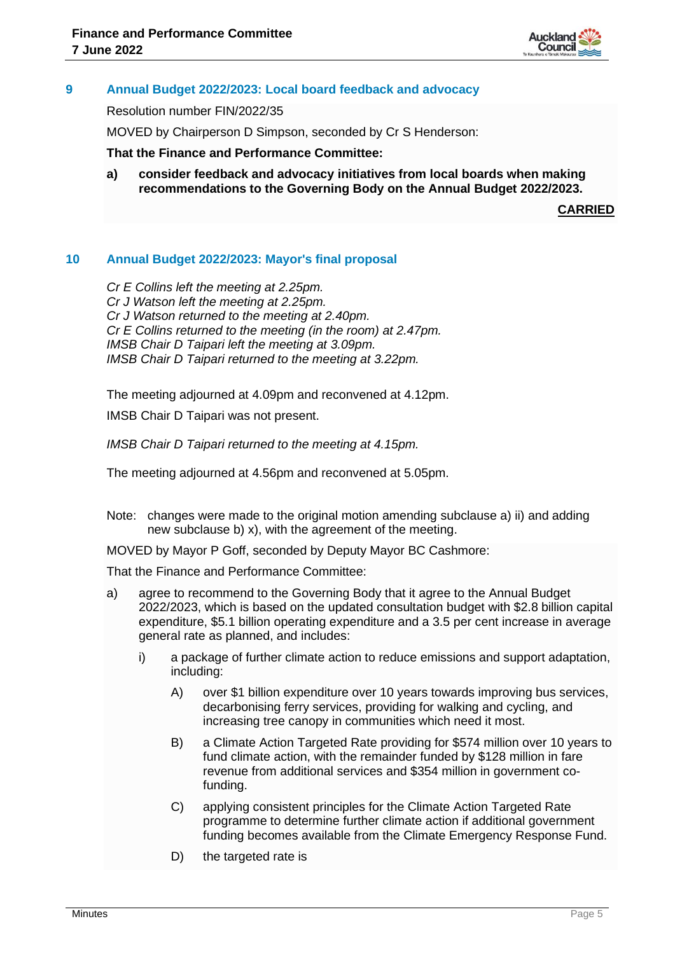

# **9 Annual Budget 2022/2023: Local board feedback and advocacy**

Resolution number FIN/2022/35

MOVED by Chairperson D Simpson, seconded by Cr S Henderson:

**That the Finance and Performance Committee:**

**a) consider feedback and advocacy initiatives from local boards when making recommendations to the Governing Body on the Annual Budget 2022/2023.**

**CARRIED**

#### **10 Annual Budget 2022/2023: Mayor's final proposal**

*Cr E Collins left the meeting at 2.25pm. Cr J Watson left the meeting at 2.25pm. Cr J Watson returned to the meeting at 2.40pm. Cr E Collins returned to the meeting (in the room) at 2.47pm. IMSB Chair D Taipari left the meeting at 3.09pm. IMSB Chair D Taipari returned to the meeting at 3.22pm.*

The meeting adjourned at 4.09pm and reconvened at 4.12pm.

IMSB Chair D Taipari was not present.

*IMSB Chair D Taipari returned to the meeting at 4.15pm.*

The meeting adjourned at 4.56pm and reconvened at 5.05pm.

Note: changes were made to the original motion amending subclause a) ii) and adding new subclause b) x), with the agreement of the meeting.

MOVED by Mayor P Goff, seconded by Deputy Mayor BC Cashmore:

That the Finance and Performance Committee:

- a) agree to recommend to the Governing Body that it agree to the Annual Budget 2022/2023, which is based on the updated consultation budget with \$2.8 billion capital expenditure, \$5.1 billion operating expenditure and a 3.5 per cent increase in average general rate as planned, and includes:
	- i) a package of further climate action to reduce emissions and support adaptation, including:
		- A) over \$1 billion expenditure over 10 years towards improving bus services, decarbonising ferry services, providing for walking and cycling, and increasing tree canopy in communities which need it most.
		- B) a Climate Action Targeted Rate providing for \$574 million over 10 years to fund climate action, with the remainder funded by \$128 million in fare revenue from additional services and \$354 million in government cofunding.
		- C) applying consistent principles for the Climate Action Targeted Rate programme to determine further climate action if additional government funding becomes available from the Climate Emergency Response Fund.
		- D) the targeted rate is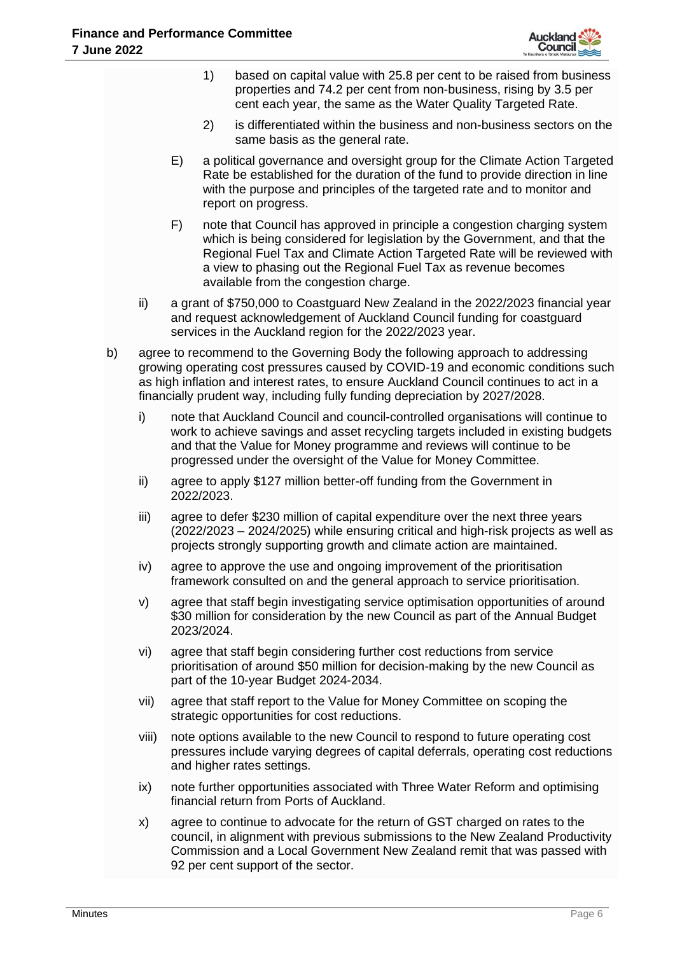

|    |       |    | 1)         | based on capital value with 25.8 per cent to be raised from business<br>properties and 74.2 per cent from non-business, rising by 3.5 per<br>cent each year, the same as the Water Quality Targeted Rate.                                                                                                                                    |  |  |  |  |
|----|-------|----|------------|----------------------------------------------------------------------------------------------------------------------------------------------------------------------------------------------------------------------------------------------------------------------------------------------------------------------------------------------|--|--|--|--|
|    |       |    | 2)         | is differentiated within the business and non-business sectors on the<br>same basis as the general rate.                                                                                                                                                                                                                                     |  |  |  |  |
|    |       | E) |            | a political governance and oversight group for the Climate Action Targeted<br>Rate be established for the duration of the fund to provide direction in line<br>with the purpose and principles of the targeted rate and to monitor and<br>report on progress.                                                                                |  |  |  |  |
|    |       | F) |            | note that Council has approved in principle a congestion charging system<br>which is being considered for legislation by the Government, and that the<br>Regional Fuel Tax and Climate Action Targeted Rate will be reviewed with<br>a view to phasing out the Regional Fuel Tax as revenue becomes<br>available from the congestion charge. |  |  |  |  |
|    | ii)   |    |            | a grant of \$750,000 to Coastguard New Zealand in the 2022/2023 financial year<br>and request acknowledgement of Auckland Council funding for coastguard<br>services in the Auckland region for the 2022/2023 year.                                                                                                                          |  |  |  |  |
| b) |       |    |            | agree to recommend to the Governing Body the following approach to addressing<br>growing operating cost pressures caused by COVID-19 and economic conditions such<br>as high inflation and interest rates, to ensure Auckland Council continues to act in a<br>financially prudent way, including fully funding depreciation by 2027/2028.   |  |  |  |  |
|    | i)    |    |            | note that Auckland Council and council-controlled organisations will continue to<br>work to achieve savings and asset recycling targets included in existing budgets<br>and that the Value for Money programme and reviews will continue to be<br>progressed under the oversight of the Value for Money Committee.                           |  |  |  |  |
|    | ii)   |    | 2022/2023. | agree to apply \$127 million better-off funding from the Government in                                                                                                                                                                                                                                                                       |  |  |  |  |
|    | iii)  |    |            | agree to defer \$230 million of capital expenditure over the next three years<br>(2022/2023 – 2024/2025) while ensuring critical and high-risk projects as well as<br>projects strongly supporting growth and climate action are maintained.                                                                                                 |  |  |  |  |
|    | iv)   |    |            | agree to approve the use and ongoing improvement of the prioritisation<br>framework consulted on and the general approach to service prioritisation.                                                                                                                                                                                         |  |  |  |  |
|    | V)    |    | 2023/2024. | agree that staff begin investigating service optimisation opportunities of around<br>\$30 million for consideration by the new Council as part of the Annual Budget                                                                                                                                                                          |  |  |  |  |
|    | vi)   |    |            | agree that staff begin considering further cost reductions from service<br>prioritisation of around \$50 million for decision-making by the new Council as<br>part of the 10-year Budget 2024-2034.                                                                                                                                          |  |  |  |  |
|    | vii)  |    |            | agree that staff report to the Value for Money Committee on scoping the<br>strategic opportunities for cost reductions.                                                                                                                                                                                                                      |  |  |  |  |
|    | viii) |    |            | note options available to the new Council to respond to future operating cost<br>pressures include varying degrees of capital deferrals, operating cost reductions<br>and higher rates settings.                                                                                                                                             |  |  |  |  |
|    | ix)   |    |            | note further opportunities associated with Three Water Reform and optimising<br>financial return from Ports of Auckland.                                                                                                                                                                                                                     |  |  |  |  |
|    | X)    |    |            | agree to continue to advocate for the return of GST charged on rates to the<br>council, in alignment with previous submissions to the New Zealand Productivity<br>Commission and a Local Government New Zealand remit that was passed with<br>92 per cent support of the sector.                                                             |  |  |  |  |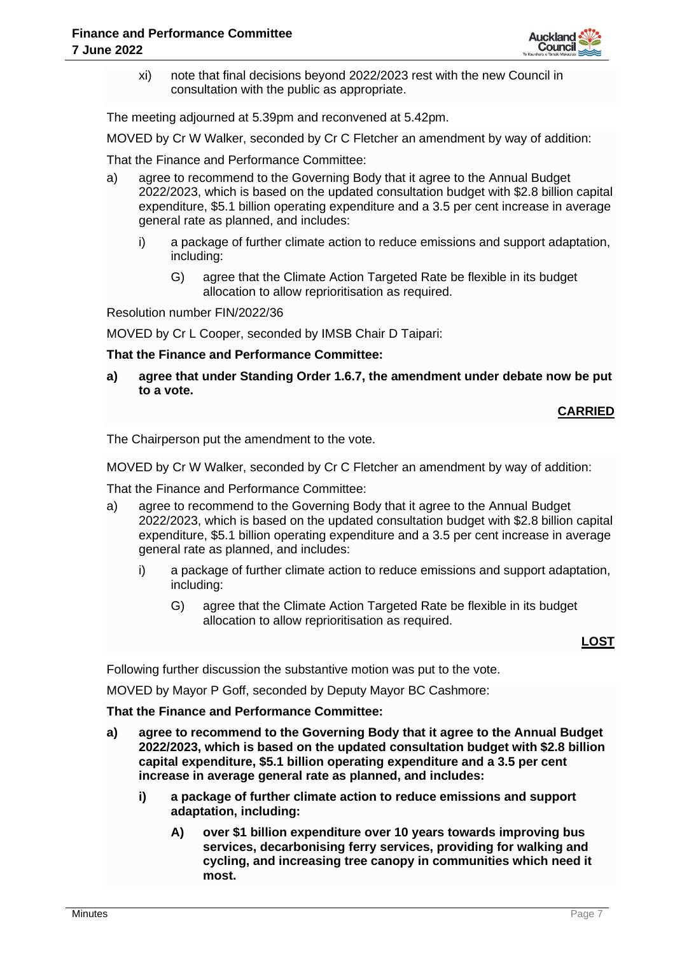

xi) note that final decisions beyond 2022/2023 rest with the new Council in consultation with the public as appropriate.

The meeting adjourned at 5.39pm and reconvened at 5.42pm.

MOVED by Cr W Walker, seconded by Cr C Fletcher an amendment by way of addition:

That the Finance and Performance Committee:

- a) agree to recommend to the Governing Body that it agree to the Annual Budget 2022/2023, which is based on the updated consultation budget with \$2.8 billion capital expenditure, \$5.1 billion operating expenditure and a 3.5 per cent increase in average general rate as planned, and includes:
	- i) a package of further climate action to reduce emissions and support adaptation, including:
		- G) agree that the Climate Action Targeted Rate be flexible in its budget allocation to allow reprioritisation as required.

Resolution number FIN/2022/36

MOVED by Cr L Cooper, seconded by IMSB Chair D Taipari:

#### **That the Finance and Performance Committee:**

**a) agree that under Standing Order 1.6.7, the amendment under debate now be put to a vote.**

# **CARRIED**

The Chairperson put the amendment to the vote.

MOVED by Cr W Walker, seconded by Cr C Fletcher an amendment by way of addition:

That the Finance and Performance Committee:

- a) agree to recommend to the Governing Body that it agree to the Annual Budget 2022/2023, which is based on the updated consultation budget with \$2.8 billion capital expenditure, \$5.1 billion operating expenditure and a 3.5 per cent increase in average general rate as planned, and includes:
	- i) a package of further climate action to reduce emissions and support adaptation, including:
		- G) agree that the Climate Action Targeted Rate be flexible in its budget allocation to allow reprioritisation as required.

**LOST**

Following further discussion the substantive motion was put to the vote.

MOVED by Mayor P Goff, seconded by Deputy Mayor BC Cashmore:

#### **That the Finance and Performance Committee:**

- **a) agree to recommend to the Governing Body that it agree to the Annual Budget 2022/2023, which is based on the updated consultation budget with \$2.8 billion capital expenditure, \$5.1 billion operating expenditure and a 3.5 per cent increase in average general rate as planned, and includes:**
	- **i) a package of further climate action to reduce emissions and support adaptation, including:**
		- **A) over \$1 billion expenditure over 10 years towards improving bus services, decarbonising ferry services, providing for walking and cycling, and increasing tree canopy in communities which need it most.**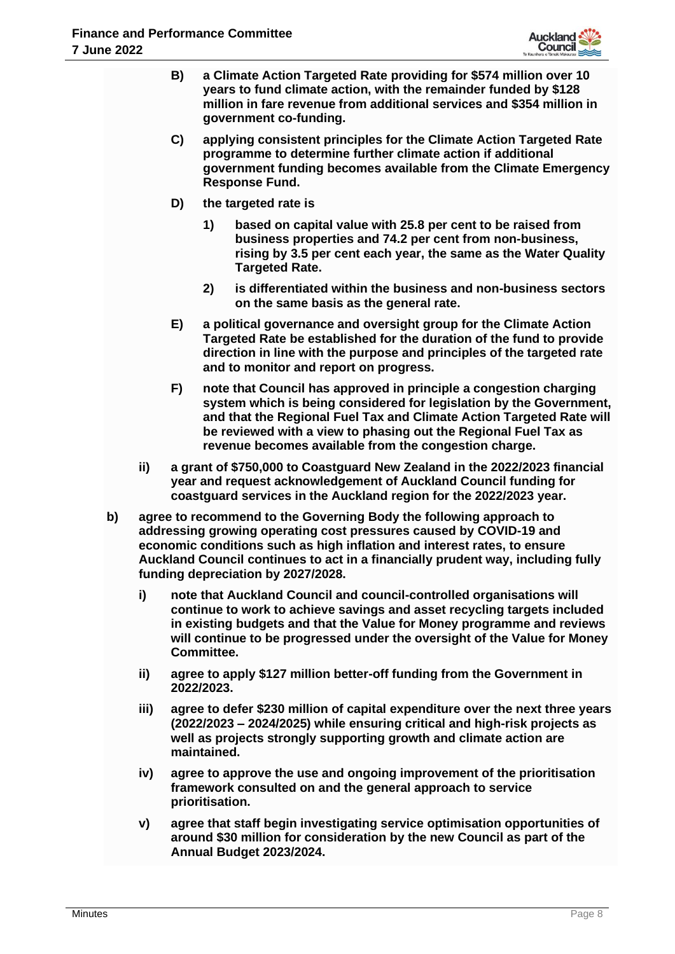

- **B) a Climate Action Targeted Rate providing for \$574 million over 10 years to fund climate action, with the remainder funded by \$128 million in fare revenue from additional services and \$354 million in government co-funding.**
- **C) applying consistent principles for the Climate Action Targeted Rate programme to determine further climate action if additional government funding becomes available from the Climate Emergency Response Fund.**
- **D) the targeted rate is** 
	- **1) based on capital value with 25.8 per cent to be raised from business properties and 74.2 per cent from non-business, rising by 3.5 per cent each year, the same as the Water Quality Targeted Rate.**
	- **2) is differentiated within the business and non-business sectors on the same basis as the general rate.**
- **E) a political governance and oversight group for the Climate Action Targeted Rate be established for the duration of the fund to provide direction in line with the purpose and principles of the targeted rate and to monitor and report on progress.**
- **F) note that Council has approved in principle a congestion charging system which is being considered for legislation by the Government, and that the Regional Fuel Tax and Climate Action Targeted Rate will be reviewed with a view to phasing out the Regional Fuel Tax as revenue becomes available from the congestion charge.**
- **ii) a grant of \$750,000 to Coastguard New Zealand in the 2022/2023 financial year and request acknowledgement of Auckland Council funding for coastguard services in the Auckland region for the 2022/2023 year.**
- **b) agree to recommend to the Governing Body the following approach to addressing growing operating cost pressures caused by COVID-19 and economic conditions such as high inflation and interest rates, to ensure Auckland Council continues to act in a financially prudent way, including fully funding depreciation by 2027/2028.**
	- **i) note that Auckland Council and council-controlled organisations will continue to work to achieve savings and asset recycling targets included in existing budgets and that the Value for Money programme and reviews will continue to be progressed under the oversight of the Value for Money Committee.**
	- **ii) agree to apply \$127 million better-off funding from the Government in 2022/2023.**
	- **iii) agree to defer \$230 million of capital expenditure over the next three years (2022/2023 – 2024/2025) while ensuring critical and high-risk projects as well as projects strongly supporting growth and climate action are maintained.**
	- **iv) agree to approve the use and ongoing improvement of the prioritisation framework consulted on and the general approach to service prioritisation.**
	- **v) agree that staff begin investigating service optimisation opportunities of around \$30 million for consideration by the new Council as part of the Annual Budget 2023/2024.**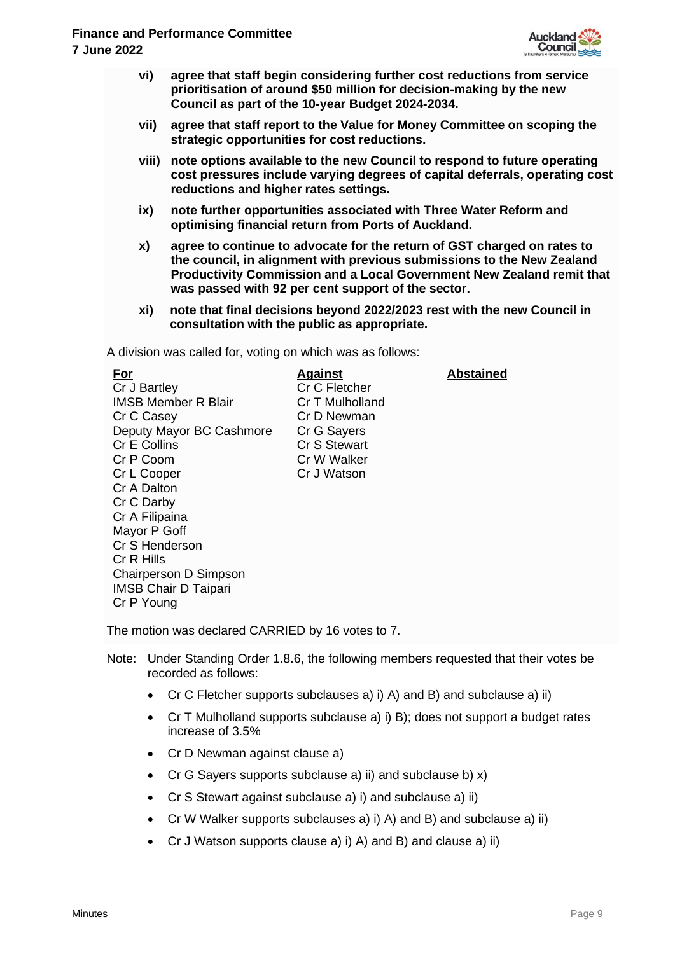

- **vi) agree that staff begin considering further cost reductions from service prioritisation of around \$50 million for decision-making by the new Council as part of the 10-year Budget 2024-2034.**
- **vii) agree that staff report to the Value for Money Committee on scoping the strategic opportunities for cost reductions.**
- **viii) note options available to the new Council to respond to future operating cost pressures include varying degrees of capital deferrals, operating cost reductions and higher rates settings.**
- **ix) note further opportunities associated with Three Water Reform and optimising financial return from Ports of Auckland.**
- **x) agree to continue to advocate for the return of GST charged on rates to the council, in alignment with previous submissions to the New Zealand Productivity Commission and a Local Government New Zealand remit that was passed with 92 per cent support of the sector.**
- **xi) note that final decisions beyond 2022/2023 rest with the new Council in consultation with the public as appropriate.**

A division was called for, voting on which was as follows:

| For                         | <b>Against</b>  | <b>Abstained</b> |
|-----------------------------|-----------------|------------------|
| Cr J Bartley                | Cr C Fletcher   |                  |
| <b>IMSB Member R Blair</b>  | Cr T Mulholland |                  |
| Cr C Casey                  | Cr D Newman     |                  |
| Deputy Mayor BC Cashmore    | Cr G Sayers     |                  |
| Cr E Collins                | Cr S Stewart    |                  |
| Cr P Coom                   | Cr W Walker     |                  |
| Cr L Cooper                 | Cr J Watson     |                  |
| Cr A Dalton                 |                 |                  |
| Cr C Darby                  |                 |                  |
| Cr A Filipaina              |                 |                  |
| Mayor P Goff                |                 |                  |
| Cr S Henderson              |                 |                  |
| Cr R Hills                  |                 |                  |
| Chairperson D Simpson       |                 |                  |
| <b>IMSB Chair D Taipari</b> |                 |                  |
| Cr P Young                  |                 |                  |

The motion was declared CARRIED by 16 votes to 7.

- Note: Under Standing Order 1.8.6, the following members requested that their votes be recorded as follows:
	- Cr C Fletcher supports subclauses a) i) A) and B) and subclause a) ii)
	- Cr T Mulholland supports subclause a) i) B); does not support a budget rates increase of 3.5%
	- Cr D Newman against clause a)
	- Cr G Sayers supports subclause a) ii) and subclause b) x)
	- Cr S Stewart against subclause a) i) and subclause a) ii)
	- Cr W Walker supports subclauses a) i) A) and B) and subclause a) ii)
	- Cr J Watson supports clause a) i) A) and B) and clause a) ii)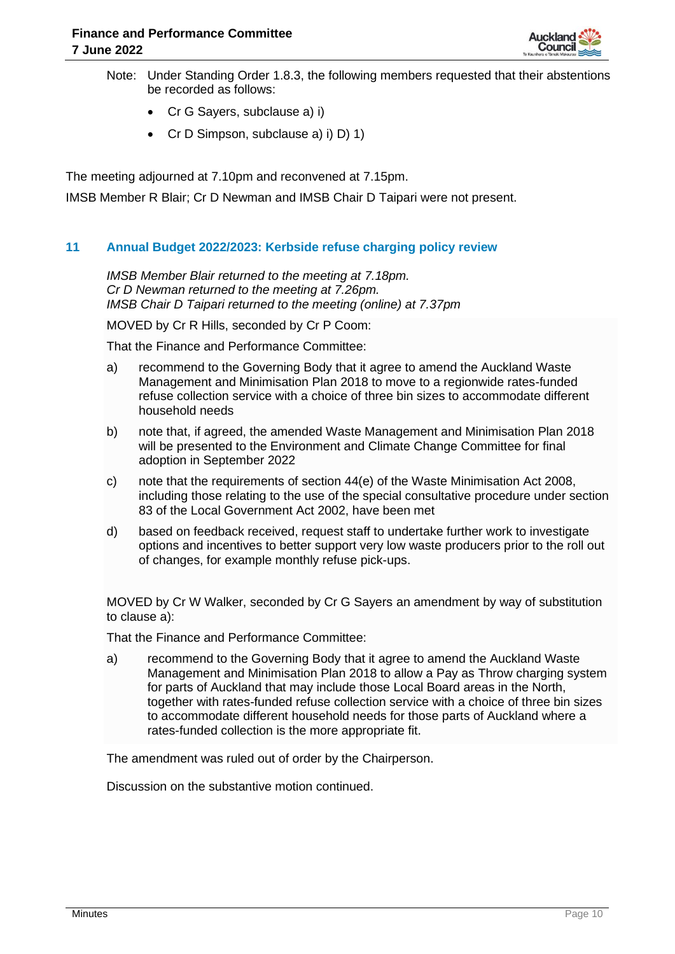

- Note: Under Standing Order 1.8.3, the following members requested that their abstentions be recorded as follows:
	- Cr G Sayers, subclause a) i)
	- Cr D Simpson, subclause a) i) D) 1)

The meeting adjourned at 7.10pm and reconvened at 7.15pm.

IMSB Member R Blair; Cr D Newman and IMSB Chair D Taipari were not present.

# **11 Annual Budget 2022/2023: Kerbside refuse charging policy review**

*IMSB Member Blair returned to the meeting at 7.18pm. Cr D Newman returned to the meeting at 7.26pm. IMSB Chair D Taipari returned to the meeting (online) at 7.37pm*

MOVED by Cr R Hills, seconded by Cr P Coom:

That the Finance and Performance Committee:

- a) recommend to the Governing Body that it agree to amend the Auckland Waste Management and Minimisation Plan 2018 to move to a regionwide rates-funded refuse collection service with a choice of three bin sizes to accommodate different household needs
- b) note that, if agreed, the amended Waste Management and Minimisation Plan 2018 will be presented to the Environment and Climate Change Committee for final adoption in September 2022
- c) note that the requirements of section 44(e) of the Waste Minimisation Act 2008, including those relating to the use of the special consultative procedure under section 83 of the Local Government Act 2002, have been met
- d) based on feedback received, request staff to undertake further work to investigate options and incentives to better support very low waste producers prior to the roll out of changes, for example monthly refuse pick-ups.

MOVED by Cr W Walker, seconded by Cr G Sayers an amendment by way of substitution to clause a):

That the Finance and Performance Committee:

a) recommend to the Governing Body that it agree to amend the Auckland Waste Management and Minimisation Plan 2018 to allow a Pay as Throw charging system for parts of Auckland that may include those Local Board areas in the North, together with rates-funded refuse collection service with a choice of three bin sizes to accommodate different household needs for those parts of Auckland where a rates-funded collection is the more appropriate fit.

The amendment was ruled out of order by the Chairperson.

Discussion on the substantive motion continued.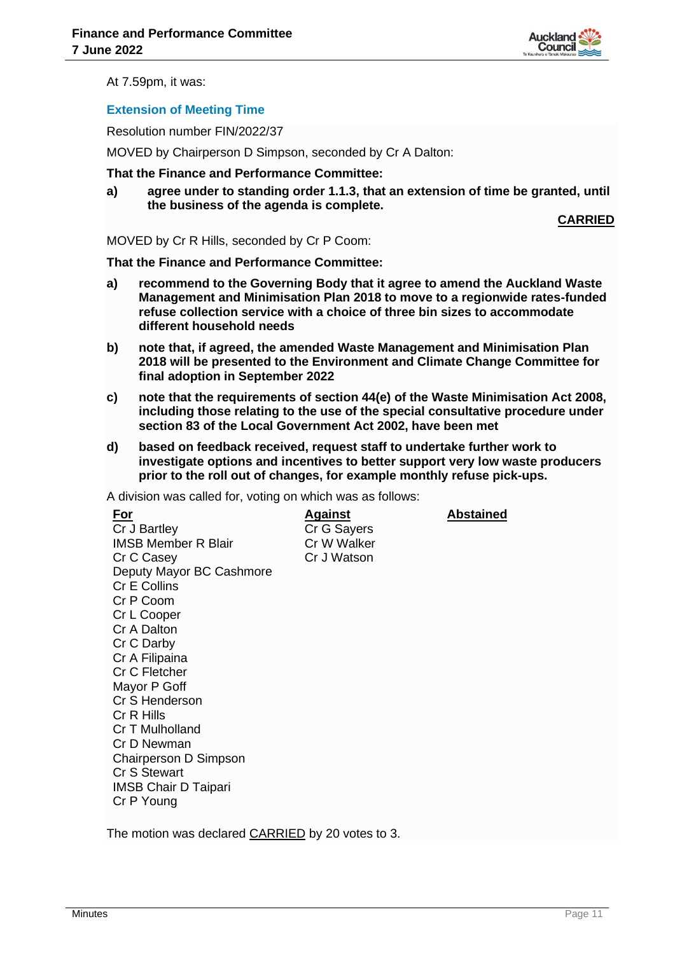

At 7.59pm, it was:

# **Extension of Meeting Time**

Resolution number FIN/2022/37

MOVED by Chairperson D Simpson, seconded by Cr A Dalton:

**That the Finance and Performance Committee:**

**a) agree under to standing order 1.1.3, that an extension of time be granted, until the business of the agenda is complete.**

**CARRIED**

MOVED by Cr R Hills, seconded by Cr P Coom:

**That the Finance and Performance Committee:**

- **a) recommend to the Governing Body that it agree to amend the Auckland Waste Management and Minimisation Plan 2018 to move to a regionwide rates-funded refuse collection service with a choice of three bin sizes to accommodate different household needs**
- **b) note that, if agreed, the amended Waste Management and Minimisation Plan 2018 will be presented to the Environment and Climate Change Committee for final adoption in September 2022**
- **c) note that the requirements of section 44(e) of the Waste Minimisation Act 2008, including those relating to the use of the special consultative procedure under section 83 of the Local Government Act 2002, have been met**
- **d) based on feedback received, request staff to undertake further work to investigate options and incentives to better support very low waste producers prior to the roll out of changes, for example monthly refuse pick-ups.**

A division was called for, voting on which was as follows:

The motion was declared CARRIED by 20 votes to 3.

**For** Cr J Bartley IMSB Member R Blair Cr C Casey Deputy Mayor BC Cashmore Cr E Collins Cr P Coom Cr L Cooper Cr A Dalton Cr C Darby Cr A Filipaina Cr C Fletcher Mayor P Goff Cr S Henderson Cr R Hills Cr T Mulholland Cr D Newman Chairperson D Simpson Cr S Stewart IMSB Chair D Taipari Cr P Young

**Against** Cr G Sayers Cr W Walker Cr J Watson

**Abstained**

**Minutes Page 11 Contract Contract Contract Contract Contract Contract Contract Contract Contract Contract Contract Contract Contract Contract Contract Contract Contract Contract Contract Contract Contract Contract Contrac**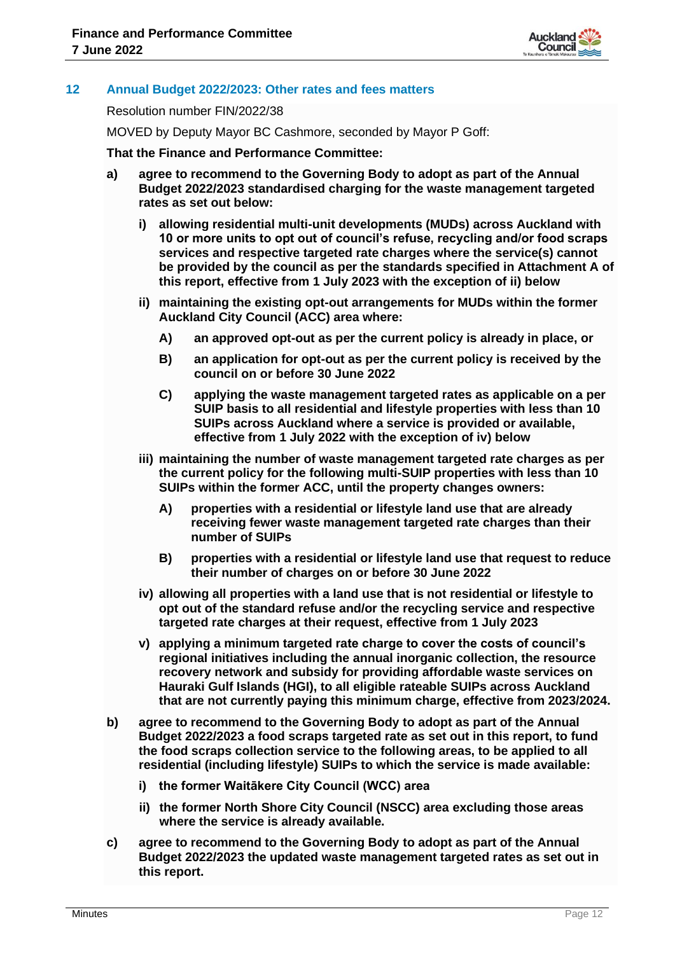

# **12 Annual Budget 2022/2023: Other rates and fees matters**

Resolution number FIN/2022/38

MOVED by Deputy Mayor BC Cashmore, seconded by Mayor P Goff:

#### **That the Finance and Performance Committee:**

- **a) agree to recommend to the Governing Body to adopt as part of the Annual Budget 2022/2023 standardised charging for the waste management targeted rates as set out below:**
	- **i) allowing residential multi-unit developments (MUDs) across Auckland with 10 or more units to opt out of council's refuse, recycling and/or food scraps services and respective targeted rate charges where the service(s) cannot be provided by the council as per the standards specified in Attachment A of this report, effective from 1 July 2023 with the exception of ii) below**
	- **ii) maintaining the existing opt-out arrangements for MUDs within the former Auckland City Council (ACC) area where:**
		- **A) an approved opt-out as per the current policy is already in place, or**
		- **B) an application for opt-out as per the current policy is received by the council on or before 30 June 2022**
		- **C) applying the waste management targeted rates as applicable on a per SUIP basis to all residential and lifestyle properties with less than 10 SUIPs across Auckland where a service is provided or available, effective from 1 July 2022 with the exception of iv) below**
	- **iii) maintaining the number of waste management targeted rate charges as per the current policy for the following multi-SUIP properties with less than 10 SUIPs within the former ACC, until the property changes owners:**
		- **A) properties with a residential or lifestyle land use that are already receiving fewer waste management targeted rate charges than their number of SUIPs**
		- **B) properties with a residential or lifestyle land use that request to reduce their number of charges on or before 30 June 2022**
	- **iv) allowing all properties with a land use that is not residential or lifestyle to opt out of the standard refuse and/or the recycling service and respective targeted rate charges at their request, effective from 1 July 2023**
	- **v) applying a minimum targeted rate charge to cover the costs of council's regional initiatives including the annual inorganic collection, the resource recovery network and subsidy for providing affordable waste services on Hauraki Gulf Islands (HGI), to all eligible rateable SUIPs across Auckland that are not currently paying this minimum charge, effective from 2023/2024.**
- **b) agree to recommend to the Governing Body to adopt as part of the Annual Budget 2022/2023 a food scraps targeted rate as set out in this report, to fund the food scraps collection service to the following areas, to be applied to all residential (including lifestyle) SUIPs to which the service is made available:**
	- **i) the former Waitākere City Council (WCC) area**
	- **ii) the former North Shore City Council (NSCC) area excluding those areas where the service is already available.**
- **c) agree to recommend to the Governing Body to adopt as part of the Annual Budget 2022/2023 the updated waste management targeted rates as set out in this report.**